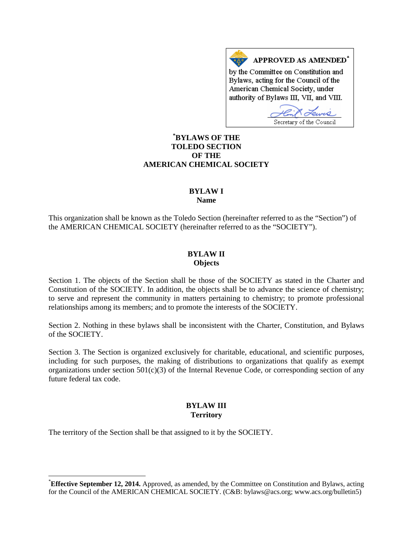APPROVED AS AMENDED<sup>\*</sup> by the Committee on Constitution and Bylaws, acting for the Council of the American Chemical Society, under authority of Bylaws III, VII, and VIII.

Secretary of the Council

## **[\\*](#page-0-0) BYLAWS OF THE TOLEDO SECTION OF THE AMERICAN CHEMICAL SOCIETY**

### **BYLAW I Name**

This organization shall be known as the Toledo Section (hereinafter referred to as the "Section") of the AMERICAN CHEMICAL SOCIETY (hereinafter referred to as the "SOCIETY").

### **BYLAW II Objects**

Section 1. The objects of the Section shall be those of the SOCIETY as stated in the Charter and Constitution of the SOCIETY. In addition, the objects shall be to advance the science of chemistry; to serve and represent the community in matters pertaining to chemistry; to promote professional relationships among its members; and to promote the interests of the SOCIETY.

Section 2. Nothing in these bylaws shall be inconsistent with the Charter, Constitution, and Bylaws of the SOCIETY.

Section 3. The Section is organized exclusively for charitable, educational, and scientific purposes, including for such purposes, the making of distributions to organizations that qualify as exempt organizations under section  $501(c)(3)$  of the Internal Revenue Code, or corresponding section of any future federal tax code.

# **BYLAW III Territory**

The territory of the Section shall be that assigned to it by the SOCIETY.

<span id="page-0-0"></span> <sup>\*</sup> **Effective September 12, 2014.** Approved, as amended, by the Committee on Constitution and Bylaws, acting for the Council of the AMERICAN CHEMICAL SOCIETY. (C&B: bylaws@acs.org; www.acs.org/bulletin5)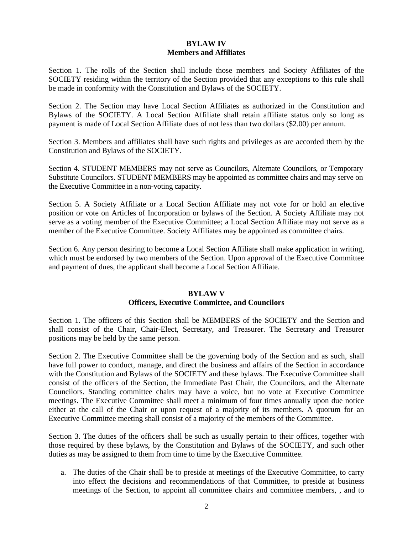### **BYLAW IV Members and Affiliates**

Section 1. The rolls of the Section shall include those members and Society Affiliates of the SOCIETY residing within the territory of the Section provided that any exceptions to this rule shall be made in conformity with the Constitution and Bylaws of the SOCIETY.

Section 2. The Section may have Local Section Affiliates as authorized in the Constitution and Bylaws of the SOCIETY. A Local Section Affiliate shall retain affiliate status only so long as payment is made of Local Section Affiliate dues of not less than two dollars (\$2.00) per annum.

Section 3. Members and affiliates shall have such rights and privileges as are accorded them by the Constitution and Bylaws of the SOCIETY.

Section 4. STUDENT MEMBERS may not serve as Councilors, Alternate Councilors, or Temporary Substitute Councilors. STUDENT MEMBERS may be appointed as committee chairs and may serve on the Executive Committee in a non-voting capacity.

Section 5. A Society Affiliate or a Local Section Affiliate may not vote for or hold an elective position or vote on Articles of Incorporation or bylaws of the Section. A Society Affiliate may not serve as a voting member of the Executive Committee; a Local Section Affiliate may not serve as a member of the Executive Committee. Society Affiliates may be appointed as committee chairs.

Section 6. Any person desiring to become a Local Section Affiliate shall make application in writing, which must be endorsed by two members of the Section. Upon approval of the Executive Committee and payment of dues, the applicant shall become a Local Section Affiliate.

### **BYLAW V Officers, Executive Committee, and Councilors**

Section 1. The officers of this Section shall be MEMBERS of the SOCIETY and the Section and shall consist of the Chair, Chair-Elect, Secretary, and Treasurer. The Secretary and Treasurer positions may be held by the same person.

Section 2. The Executive Committee shall be the governing body of the Section and as such, shall have full power to conduct, manage, and direct the business and affairs of the Section in accordance with the Constitution and Bylaws of the SOCIETY and these bylaws. The Executive Committee shall consist of the officers of the Section, the Immediate Past Chair, the Councilors, and the Alternate Councilors. Standing committee chairs may have a voice, but no vote at Executive Committee meetings. The Executive Committee shall meet a minimum of four times annually upon due notice either at the call of the Chair or upon request of a majority of its members. A quorum for an Executive Committee meeting shall consist of a majority of the members of the Committee.

Section 3. The duties of the officers shall be such as usually pertain to their offices, together with those required by these bylaws, by the Constitution and Bylaws of the SOCIETY, and such other duties as may be assigned to them from time to time by the Executive Committee.

a. The duties of the Chair shall be to preside at meetings of the Executive Committee, to carry into effect the decisions and recommendations of that Committee, to preside at business meetings of the Section, to appoint all committee chairs and committee members, , and to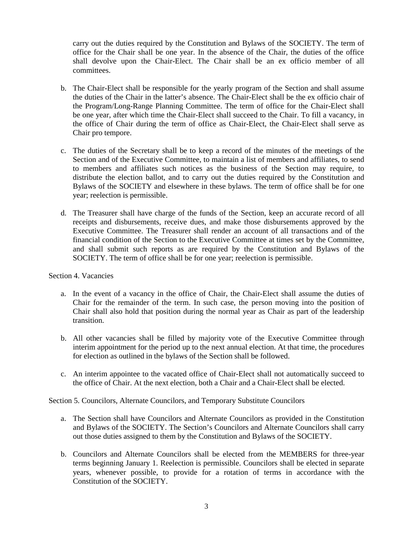carry out the duties required by the Constitution and Bylaws of the SOCIETY. The term of office for the Chair shall be one year. In the absence of the Chair, the duties of the office shall devolve upon the Chair-Elect. The Chair shall be an ex officio member of all committees.

- b. The Chair-Elect shall be responsible for the yearly program of the Section and shall assume the duties of the Chair in the latter's absence. The Chair-Elect shall be the ex officio chair of the Program/Long-Range Planning Committee. The term of office for the Chair-Elect shall be one year, after which time the Chair-Elect shall succeed to the Chair. To fill a vacancy, in the office of Chair during the term of office as Chair-Elect, the Chair-Elect shall serve as Chair pro tempore.
- c. The duties of the Secretary shall be to keep a record of the minutes of the meetings of the Section and of the Executive Committee, to maintain a list of members and affiliates, to send to members and affiliates such notices as the business of the Section may require, to distribute the election ballot, and to carry out the duties required by the Constitution and Bylaws of the SOCIETY and elsewhere in these bylaws. The term of office shall be for one year; reelection is permissible.
- d. The Treasurer shall have charge of the funds of the Section, keep an accurate record of all receipts and disbursements, receive dues, and make those disbursements approved by the Executive Committee. The Treasurer shall render an account of all transactions and of the financial condition of the Section to the Executive Committee at times set by the Committee, and shall submit such reports as are required by the Constitution and Bylaws of the SOCIETY. The term of office shall be for one year; reelection is permissible.

#### Section 4. Vacancies

- a. In the event of a vacancy in the office of Chair, the Chair-Elect shall assume the duties of Chair for the remainder of the term. In such case, the person moving into the position of Chair shall also hold that position during the normal year as Chair as part of the leadership transition.
- b. All other vacancies shall be filled by majority vote of the Executive Committee through interim appointment for the period up to the next annual election. At that time, the procedures for election as outlined in the bylaws of the Section shall be followed.
- c. An interim appointee to the vacated office of Chair-Elect shall not automatically succeed to the office of Chair. At the next election, both a Chair and a Chair-Elect shall be elected.

Section 5. Councilors, Alternate Councilors, and Temporary Substitute Councilors

- a. The Section shall have Councilors and Alternate Councilors as provided in the Constitution and Bylaws of the SOCIETY. The Section's Councilors and Alternate Councilors shall carry out those duties assigned to them by the Constitution and Bylaws of the SOCIETY.
- b. Councilors and Alternate Councilors shall be elected from the MEMBERS for three-year terms beginning January 1. Reelection is permissible. Councilors shall be elected in separate years, whenever possible, to provide for a rotation of terms in accordance with the Constitution of the SOCIETY.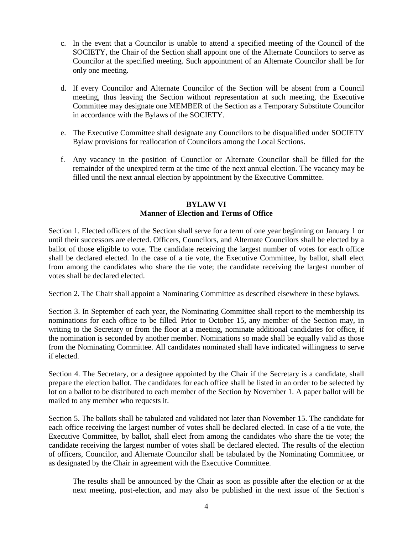- c. In the event that a Councilor is unable to attend a specified meeting of the Council of the SOCIETY, the Chair of the Section shall appoint one of the Alternate Councilors to serve as Councilor at the specified meeting. Such appointment of an Alternate Councilor shall be for only one meeting.
- d. If every Councilor and Alternate Councilor of the Section will be absent from a Council meeting, thus leaving the Section without representation at such meeting, the Executive Committee may designate one MEMBER of the Section as a Temporary Substitute Councilor in accordance with the Bylaws of the SOCIETY.
- e. The Executive Committee shall designate any Councilors to be disqualified under SOCIETY Bylaw provisions for reallocation of Councilors among the Local Sections.
- f. Any vacancy in the position of Councilor or Alternate Councilor shall be filled for the remainder of the unexpired term at the time of the next annual election. The vacancy may be filled until the next annual election by appointment by the Executive Committee.

### **BYLAW VI Manner of Election and Terms of Office**

Section 1. Elected officers of the Section shall serve for a term of one year beginning on January 1 or until their successors are elected. Officers, Councilors, and Alternate Councilors shall be elected by a ballot of those eligible to vote. The candidate receiving the largest number of votes for each office shall be declared elected. In the case of a tie vote, the Executive Committee, by ballot, shall elect from among the candidates who share the tie vote; the candidate receiving the largest number of votes shall be declared elected.

Section 2. The Chair shall appoint a Nominating Committee as described elsewhere in these bylaws.

Section 3. In September of each year, the Nominating Committee shall report to the membership its nominations for each office to be filled. Prior to October 15, any member of the Section may, in writing to the Secretary or from the floor at a meeting, nominate additional candidates for office, if the nomination is seconded by another member. Nominations so made shall be equally valid as those from the Nominating Committee. All candidates nominated shall have indicated willingness to serve if elected.

Section 4. The Secretary, or a designee appointed by the Chair if the Secretary is a candidate, shall prepare the election ballot. The candidates for each office shall be listed in an order to be selected by lot on a ballot to be distributed to each member of the Section by November 1. A paper ballot will be mailed to any member who requests it.

Section 5. The ballots shall be tabulated and validated not later than November 15. The candidate for each office receiving the largest number of votes shall be declared elected. In case of a tie vote, the Executive Committee, by ballot, shall elect from among the candidates who share the tie vote; the candidate receiving the largest number of votes shall be declared elected. The results of the election of officers, Councilor, and Alternate Councilor shall be tabulated by the Nominating Committee, or as designated by the Chair in agreement with the Executive Committee.

The results shall be announced by the Chair as soon as possible after the election or at the next meeting, post-election, and may also be published in the next issue of the Section's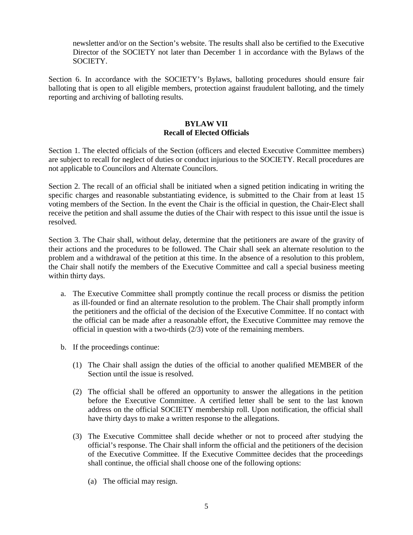newsletter and/or on the Section's website. The results shall also be certified to the Executive Director of the SOCIETY not later than December 1 in accordance with the Bylaws of the SOCIETY.

Section 6. In accordance with the SOCIETY's Bylaws, balloting procedures should ensure fair balloting that is open to all eligible members, protection against fraudulent balloting, and the timely reporting and archiving of balloting results.

#### **BYLAW VII Recall of Elected Officials**

Section 1. The elected officials of the Section (officers and elected Executive Committee members) are subject to recall for neglect of duties or conduct injurious to the SOCIETY. Recall procedures are not applicable to Councilors and Alternate Councilors.

Section 2. The recall of an official shall be initiated when a signed petition indicating in writing the specific charges and reasonable substantiating evidence, is submitted to the Chair from at least 15 voting members of the Section. In the event the Chair is the official in question, the Chair-Elect shall receive the petition and shall assume the duties of the Chair with respect to this issue until the issue is resolved.

Section 3. The Chair shall, without delay, determine that the petitioners are aware of the gravity of their actions and the procedures to be followed. The Chair shall seek an alternate resolution to the problem and a withdrawal of the petition at this time. In the absence of a resolution to this problem, the Chair shall notify the members of the Executive Committee and call a special business meeting within thirty days.

- a. The Executive Committee shall promptly continue the recall process or dismiss the petition as ill-founded or find an alternate resolution to the problem. The Chair shall promptly inform the petitioners and the official of the decision of the Executive Committee. If no contact with the official can be made after a reasonable effort, the Executive Committee may remove the official in question with a two-thirds (2/3) vote of the remaining members.
- b. If the proceedings continue:
	- (1) The Chair shall assign the duties of the official to another qualified MEMBER of the Section until the issue is resolved.
	- (2) The official shall be offered an opportunity to answer the allegations in the petition before the Executive Committee. A certified letter shall be sent to the last known address on the official SOCIETY membership roll. Upon notification, the official shall have thirty days to make a written response to the allegations.
	- (3) The Executive Committee shall decide whether or not to proceed after studying the official's response. The Chair shall inform the official and the petitioners of the decision of the Executive Committee. If the Executive Committee decides that the proceedings shall continue, the official shall choose one of the following options:
		- (a) The official may resign.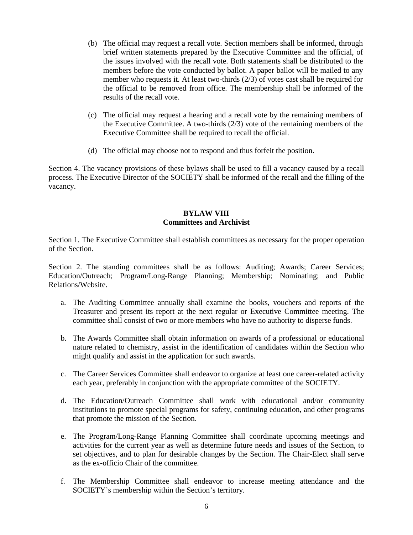- (b) The official may request a recall vote. Section members shall be informed, through brief written statements prepared by the Executive Committee and the official, of the issues involved with the recall vote. Both statements shall be distributed to the members before the vote conducted by ballot. A paper ballot will be mailed to any member who requests it. At least two-thirds (2/3) of votes cast shall be required for the official to be removed from office. The membership shall be informed of the results of the recall vote.
- (c) The official may request a hearing and a recall vote by the remaining members of the Executive Committee. A two-thirds  $(2/3)$  vote of the remaining members of the Executive Committee shall be required to recall the official.
- (d) The official may choose not to respond and thus forfeit the position.

Section 4. The vacancy provisions of these bylaws shall be used to fill a vacancy caused by a recall process. The Executive Director of the SOCIETY shall be informed of the recall and the filling of the vacancy.

### **BYLAW VIII Committees and Archivist**

Section 1. The Executive Committee shall establish committees as necessary for the proper operation of the Section.

Section 2. The standing committees shall be as follows: Auditing; Awards; Career Services; Education/Outreach; Program/Long-Range Planning; Membership; Nominating; and Public Relations/Website.

- a. The Auditing Committee annually shall examine the books, vouchers and reports of the Treasurer and present its report at the next regular or Executive Committee meeting. The committee shall consist of two or more members who have no authority to disperse funds.
- b. The Awards Committee shall obtain information on awards of a professional or educational nature related to chemistry, assist in the identification of candidates within the Section who might qualify and assist in the application for such awards.
- c. The Career Services Committee shall endeavor to organize at least one career-related activity each year, preferably in conjunction with the appropriate committee of the SOCIETY.
- d. The Education/Outreach Committee shall work with educational and/or community institutions to promote special programs for safety, continuing education, and other programs that promote the mission of the Section.
- e. The Program/Long-Range Planning Committee shall coordinate upcoming meetings and activities for the current year as well as determine future needs and issues of the Section, to set objectives, and to plan for desirable changes by the Section. The Chair-Elect shall serve as the ex-officio Chair of the committee.
- f. The Membership Committee shall endeavor to increase meeting attendance and the SOCIETY's membership within the Section's territory.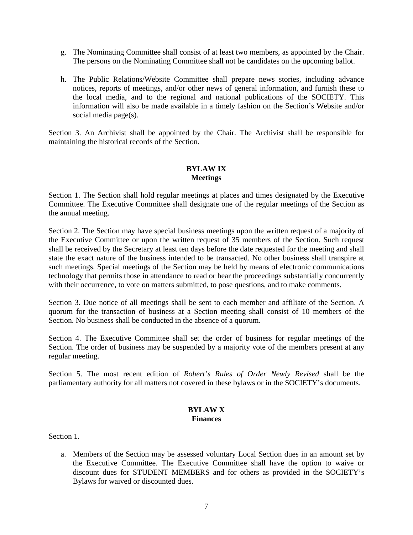- g. The Nominating Committee shall consist of at least two members, as appointed by the Chair. The persons on the Nominating Committee shall not be candidates on the upcoming ballot.
- h. The Public Relations/Website Committee shall prepare news stories, including advance notices, reports of meetings, and/or other news of general information, and furnish these to the local media, and to the regional and national publications of the SOCIETY. This information will also be made available in a timely fashion on the Section's Website and/or social media page(s).

Section 3. An Archivist shall be appointed by the Chair. The Archivist shall be responsible for maintaining the historical records of the Section.

# **BYLAW IX Meetings**

Section 1. The Section shall hold regular meetings at places and times designated by the Executive Committee. The Executive Committee shall designate one of the regular meetings of the Section as the annual meeting.

Section 2. The Section may have special business meetings upon the written request of a majority of the Executive Committee or upon the written request of 35 members of the Section. Such request shall be received by the Secretary at least ten days before the date requested for the meeting and shall state the exact nature of the business intended to be transacted. No other business shall transpire at such meetings. Special meetings of the Section may be held by means of electronic communications technology that permits those in attendance to read or hear the proceedings substantially concurrently with their occurrence, to vote on matters submitted, to pose questions, and to make comments.

Section 3. Due notice of all meetings shall be sent to each member and affiliate of the Section. A quorum for the transaction of business at a Section meeting shall consist of 10 members of the Section. No business shall be conducted in the absence of a quorum.

Section 4. The Executive Committee shall set the order of business for regular meetings of the Section. The order of business may be suspended by a majority vote of the members present at any regular meeting.

Section 5. The most recent edition of *Robert's Rules of Order Newly Revised* shall be the parliamentary authority for all matters not covered in these bylaws or in the SOCIETY's documents.

#### **BYLAW X Finances**

Section 1.

a. Members of the Section may be assessed voluntary Local Section dues in an amount set by the Executive Committee. The Executive Committee shall have the option to waive or discount dues for STUDENT MEMBERS and for others as provided in the SOCIETY's Bylaws for waived or discounted dues.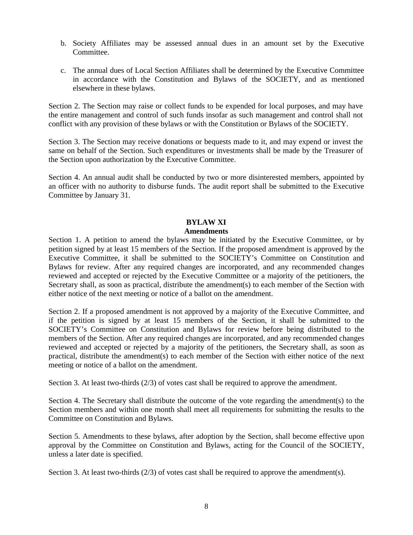- b. Society Affiliates may be assessed annual dues in an amount set by the Executive **Committee**
- c. The annual dues of Local Section Affiliates shall be determined by the Executive Committee in accordance with the Constitution and Bylaws of the SOCIETY, and as mentioned elsewhere in these bylaws.

Section 2. The Section may raise or collect funds to be expended for local purposes, and may have the entire management and control of such funds insofar as such management and control shall not conflict with any provision of these bylaws or with the Constitution or Bylaws of the SOCIETY.

Section 3. The Section may receive donations or bequests made to it, and may expend or invest the same on behalf of the Section. Such expenditures or investments shall be made by the Treasurer of the Section upon authorization by the Executive Committee.

Section 4. An annual audit shall be conducted by two or more disinterested members, appointed by an officer with no authority to disburse funds. The audit report shall be submitted to the Executive Committee by January 31.

#### **BYLAW XI Amendments**

Section 1. A petition to amend the bylaws may be initiated by the Executive Committee, or by petition signed by at least 15 members of the Section. If the proposed amendment is approved by the Executive Committee, it shall be submitted to the SOCIETY's Committee on Constitution and Bylaws for review. After any required changes are incorporated, and any recommended changes reviewed and accepted or rejected by the Executive Committee or a majority of the petitioners, the Secretary shall, as soon as practical, distribute the amendment(s) to each member of the Section with either notice of the next meeting or notice of a ballot on the amendment.

Section 2. If a proposed amendment is not approved by a majority of the Executive Committee, and if the petition is signed by at least 15 members of the Section, it shall be submitted to the SOCIETY's Committee on Constitution and Bylaws for review before being distributed to the members of the Section. After any required changes are incorporated, and any recommended changes reviewed and accepted or rejected by a majority of the petitioners, the Secretary shall, as soon as practical, distribute the amendment(s) to each member of the Section with either notice of the next meeting or notice of a ballot on the amendment.

Section 3. At least two-thirds (2/3) of votes cast shall be required to approve the amendment.

Section 4. The Secretary shall distribute the outcome of the vote regarding the amendment(s) to the Section members and within one month shall meet all requirements for submitting the results to the Committee on Constitution and Bylaws.

Section 5. Amendments to these bylaws, after adoption by the Section, shall become effective upon approval by the Committee on Constitution and Bylaws, acting for the Council of the SOCIETY, unless a later date is specified.

Section 3. At least two-thirds  $(2/3)$  of votes cast shall be required to approve the amendment(s).